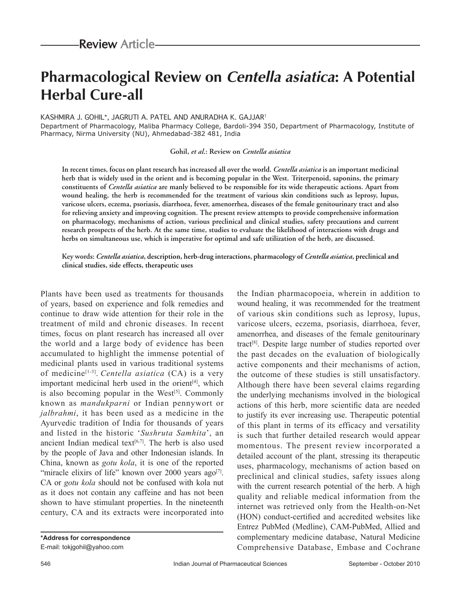# **Pharmacological Review on Centella asiatica: A Potential Herbal Cure-all**

#### KASHMIRA J. GOHIL\*, JAGRUTI A. PATEL AND ANURADHA K. GAJJAR1

Department of Pharmacology, Maliba Pharmacy College, Bardoli-394 350, Department of Pharmacology, Institute of Pharmacy, Nirma University (NU), Ahmedabad-382 481, India

#### **Gohil,** *et al***.: Review on** *Centella asiatica*

**In recent times, focus on plant research has increased all over the world.** *Centella asiatica* **is an important medicinal herb that is widely used in the orient and is becoming popular in the West. Triterpenoid, saponins, the primary constituents of** *Centella asiatica* **are manly believed to be responsible for its wide therapeutic actions. Apart from wound healing, the herb is recommended for the treatment of various skin conditions such as leprosy, lupus, varicose ulcers, eczema, psoriasis, diarrhoea, fever, amenorrhea, diseases of the female genitourinary tract and also for relieving anxiety and improving cognition. The present review attempts to provide comprehensive information on pharmacology, mechanisms of action, various preclinical and clinical studies, safety precautions and current research prospects of the herb. At the same time, studies to evaluate the likelihood of interactions with drugs and herbs on simultaneous use, which is imperative for optimal and safe utilization of the herb, are discussed.**

**Key words:** *Centella asiatica***, description, herb-drug interactions, pharmacology of** *Centella asiatica***, preclinical and clinical studies, side effects, therapeutic uses**

Plants have been used as treatments for thousands of years, based on experience and folk remedies and continue to draw wide attention for their role in the treatment of mild and chronic diseases. In recent times, focus on plant research has increased all over the world and a large body of evidence has been accumulated to highlight the immense potential of medicinal plants used in various traditional systems of medicine[1-3]. *Centella asiatica* (CA) is a very important medicinal herb used in the orient $[4]$ , which is also becoming popular in the West $[5]$ . Commonly known as *mandukparni* or Indian pennywort or *jalbrahmi*, it has been used as a medicine in the Ayurvedic tradition of India for thousands of years and listed in the historic '*Sushruta Samhita*', an ancient Indian medical text $[6,7]$ . The herb is also used by the people of Java and other Indonesian islands. In China, known as *gotu kola*, it is one of the reported "miracle elixirs of life" known over 2000 years ago<sup>[7]</sup>. CA or *gotu kola* should not be confused with kola nut as it does not contain any caffeine and has not been shown to have stimulant properties. In the nineteenth century, CA and its extracts were incorporated into

the Indian pharmacopoeia, wherein in addition to wound healing, it was recommended for the treatment of various skin conditions such as leprosy, lupus, varicose ulcers, eczema, psoriasis, diarrhoea, fever, amenorrhea, and diseases of the female genitourinary tract[8]. Despite large number of studies reported over the past decades on the evaluation of biologically active components and their mechanisms of action, the outcome of these studies is still unsatisfactory. Although there have been several claims regarding the underlying mechanisms involved in the biological actions of this herb, more scientific data are needed to justify its ever increasing use. Therapeutic potential of this plant in terms of its efficacy and versatility is such that further detailed research would appear momentous. The present review incorporated a detailed account of the plant, stressing its therapeutic uses, pharmacology, mechanisms of action based on preclinical and clinical studies, safety issues along with the current research potential of the herb. A high quality and reliable medical information from the internet was retrieved only from the Health-on-Net (HON) conduct-certified and accredited websites like Entrez PubMed (Medline), CAM-PubMed, Allied and complementary medicine database, Natural Medicine Comprehensive Database, Embase and Cochrane

**<sup>\*</sup>Address for correspondence** E-mail: tokjgohil@yahoo.com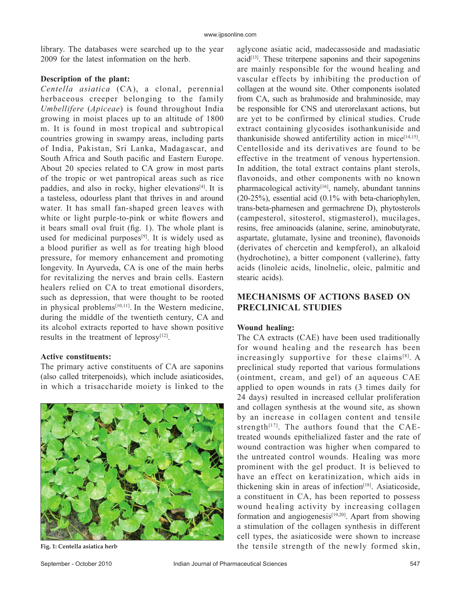library. The databases were searched up to the year 2009 for the latest information on the herb.

## **Description of the plant:**

*Centella asiatica* (CA), a clonal, perennial herbaceous creeper belonging to the family *Umbellifere* (*Apiceae*) is found throughout India growing in moist places up to an altitude of 1800 m. It is found in most tropical and subtropical countries growing in swampy areas, including parts of India, Pakistan, Sri Lanka, Madagascar, and South Africa and South pacific and Eastern Europe. About 20 species related to CA grow in most parts of the tropic or wet pantropical areas such as rice paddies, and also in rocky, higher elevations $[4]$ . It is a tasteless, odourless plant that thrives in and around water. It has small fan-shaped green leaves with white or light purple-to-pink or white flowers and it bears small oval fruit (fig. 1). The whole plant is used for medicinal purposes $[9]$ . It is widely used as a blood purifier as well as for treating high blood pressure, for memory enhancement and promoting longevity. In Ayurveda, CA is one of the main herbs for revitalizing the nerves and brain cells. Eastern healers relied on CA to treat emotional disorders, such as depression, that were thought to be rooted in physical problems $[10,11]$ . In the Western medicine, during the middle of the twentieth century, CA and its alcohol extracts reported to have shown positive results in the treatment of leprosy $[12]$ .

# **Active constituents:**

The primary active constituents of CA are saponins (also called triterpenoids), which include asiaticosides, in which a trisaccharide moiety is linked to the



aglycone asiatic acid, madecassoside and madasiatic  $\alpha$ cid<sup>[13]</sup>. These triterpene saponins and their sapogenins are mainly responsible for the wound healing and vascular effects by inhibiting the production of collagen at the wound site. Other components isolated from CA, such as brahmoside and brahminoside, may be responsible for CNS and uterorelaxant actions, but are yet to be confirmed by clinical studies. Crude extract containing glycosides isothankuniside and thankuniside showed antifertility action in mice<sup>[14,15]</sup>. Centelloside and its derivatives are found to be effective in the treatment of venous hypertension. In addition, the total extract contains plant sterols, flavonoids, and other components with no known pharmacological activity<sup>[16]</sup>, namely, abundant tannins (20-25%), essential acid (0.1% with beta-chariophylen, trans-beta-pharnesen and germachrene D), phytosterols (campesterol, sitosterol, stigmasterol), mucilages, resins, free aminoacids (alanine, serine, aminobutyrate, aspartate, glutamate, lysine and treonine), flavonoids (derivates of chercetin and kempferol), an alkaloid (hydrochotine), a bitter component (vallerine), fatty acids (linoleic acids, linolnelic, oleic, palmitic and stearic acids).

# **MECHANISMS OF ACTIONS BASED ON PRECLINICAL STUDIES**

#### **Wound healing:**

The CA extracts (CAE) have been used traditionally for wound healing and the research has been increasingly supportive for these claims $[8]$ . A preclinical study reported that various formulations (ointment, cream, and gel) of an aqueous CAE applied to open wounds in rats (3 times daily for 24 days) resulted in increased cellular proliferation and collagen synthesis at the wound site, as shown by an increase in collagen content and tensile strength<sup>[17]</sup>. The authors found that the CAEtreated wounds epithelialized faster and the rate of wound contraction was higher when compared to the untreated control wounds. Healing was more prominent with the gel product. It is believed to have an effect on keratinization, which aids in thickening skin in areas of infection $[18]$ . Asiaticoside, a constituent in CA, has been reported to possess wound healing activity by increasing collagen formation and angiogenesis<sup>[19,20]</sup>. Apart from showing a stimulation of the collagen synthesis in different cell types, the asiaticoside were shown to increase Fig. 1: Centella asiatica herb **the tensile strength of the newly formed skin**,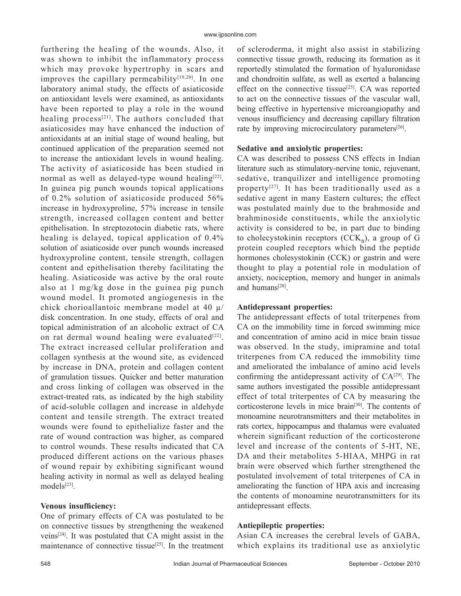furthering the healing of the wounds. Also, it was shown to inhibit the inflammatory process which may provoke hypertrophy in scars and improves the capillary permeability<sup>[19,20]</sup>. In one laboratory animal study, the effects of asiaticoside on antioxidant levels were examined, as antioxidants have been reported to play a role in the wound healing process<sup>[21]</sup>. The authors concluded that asiaticosides may have enhanced the induction of antioxidants at an initial stage of wound healing, but continued application of the preparation seemed not to increase the antioxidant levels in wound healing. The activity of asiaticoside has been studied in normal as well as delayed-type wound healing $[22]$ . In guinea pig punch wounds topical applications of 0.2% solution of asiaticoside produced 56% increase in hydroxyproline, 57% increase in tensile strength, increased collagen content and better epithelisation. In streptozotocin diabetic rats, where healing is delayed, topical application of 0.4% solution of asiaticoside over punch wounds increased hydroxyproline content, tensile strength, collagen content and epithelisation thereby facilitating the healing. Asiaticoside was active by the oral route also at 1 mg/kg dose in the guinea pig punch wound model. It promoted angiogenesis in the chick chorioallantoic membrane model at 40 μ/ disk concentration. In one study, effects of oral and topical administration of an alcoholic extract of CA on rat dermal wound healing were evaluated $[22]$ . The extract increased cellular proliferation and collagen synthesis at the wound site, as evidenced by increase in DNA, protein and collagen content of granulation tissues. Quicker and better maturation and cross linking of collagen was observed in the extract-treated rats, as indicated by the high stability of acid-soluble collagen and increase in aldehyde content and tensile strength. The extract treated wounds were found to epithelialize faster and the rate of wound contraction was higher, as compared to control wounds. These results indicated that CA produced different actions on the various phases of wound repair by exhibiting significant wound healing activity in normal as well as delayed healing models[23].

## **Venous insufficiency:**

One of primary effects of CA was postulated to be on connective tissues by strengthening the weakened veins[24]. It was postulated that CA might assist in the maintenance of connective tissue<sup>[25]</sup>. In the treatment of scleroderma, it might also assist in stabilizing connective tissue growth, reducing its formation as it reportedly stimulated the formation of hyaluronidase and chondroitin sulfate, as well as exerted a balancing effect on the connective tissue<sup>[25]</sup>. CA was reported to act on the connective tissues of the vascular wall, being effective in hypertensive microangiopathy and venous insufficiency and decreasing capillary filtration rate by improving microcirculatory parameters<sup>[26]</sup>.

#### **Sedative and anxiolytic properties:**

CA was described to possess CNS effects in Indian literature such as stimulatory-nervine tonic, rejuvenant, sedative, tranquilizer and intelligence promoting property<sup>[27]</sup>. It has been traditionally used as a sedative agent in many Eastern cultures; the effect was postulated mainly due to the brahmoside and brahminoside constituents, while the anxiolytic activity is considered to be, in part due to binding to cholecystokinin receptors  $(CCK<sub>n</sub>)$ , a group of G protein coupled receptors which bind the peptide hormones cholesystokinin (CCK) or gastrin and were thought to play a potential role in modulation of anxiety, nociception, memory and hunger in animals and humans<sup>[28]</sup>.

## **Antidepressant properties:**

The antidepressant effects of total triterpenes from CA on the immobility time in forced swimming mice and concentration of amino acid in mice brain tissue was observed. In the study, imipramine and total triterpenes from CA reduced the immobility time and ameliorated the imbalance of amino acid levels confirming the antidepressant activity of  $CA^{[29]}$ . The same authors investigated the possible antidepressant effect of total triterpentes of CA by measuring the corticosterone levels in mice brain<sup>[30]</sup>. The contents of monoamine neurotransmitters and their metabolites in rats cortex, hippocampus and thalamus were evaluated wherein significant reduction of the corticosterone level and increase of the contents of 5-HT, NE, DA and their metabolites 5-HIAA, MHPG in rat brain were observed which further strengthened the postulated involvement of total triterpenes of CA in ameliorating the function of HPA axis and increasing the contents of monoamine neurotransmitters for its antidepressant effects.

## **Antiepileptic properties:**

Asian CA increases the cerebral levels of GABA, which explains its traditional use as anxiolytic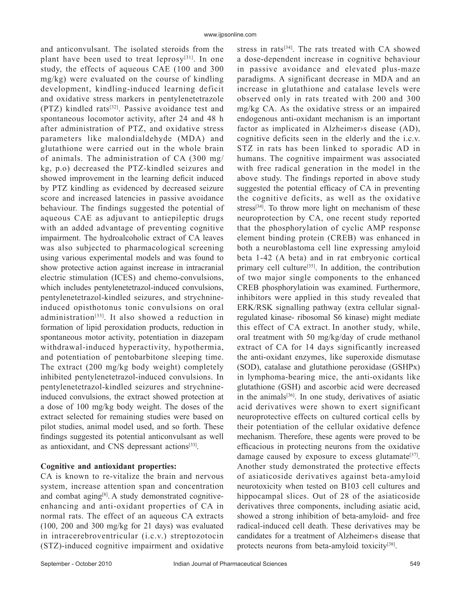and anticonvulsant. The isolated steroids from the plant have been used to treat leprosy $[31]$ . In one study, the effects of aqueous CAE (100 and 300 mg/kg) were evaluated on the course of kindling development, kindling-induced learning deficit and oxidative stress markers in pentylenetetrazole (PTZ) kindled rats[32]. Passive avoidance test and spontaneous locomotor activity, after 24 and 48 h after administration of PTZ, and oxidative stress parameters like malondialdehyde (MDA) and glutathione were carried out in the whole brain of animals. The administration of CA (300 mg/ kg, p.o) decreased the PTZ-kindled seizures and showed improvement in the learning deficit induced by PTZ kindling as evidenced by decreased seizure score and increased latencies in passive avoidance behaviour. The findings suggested the potential of aqueous CAE as adjuvant to antiepileptic drugs with an added advantage of preventing cognitive impairment. The hydroalcoholic extract of CA leaves was also subjected to pharmacological screening using various experimental models and was found to show protective action against increase in intracranial electric stimulation (ICES) and chemo-convulsions, which includes pentylenetetrazol-induced convulsions, pentylenetetrazol-kindled seizures, and strychnineinduced opisthotonus tonic convulsions on oral administration[33]. It also showed a reduction in formation of lipid peroxidation products, reduction in spontaneous motor activity, potentiation in diazepam withdrawal-induced hyperactivity, hypothermia, and potentiation of pentobarbitone sleeping time. The extract (200 mg/kg body weight) completely inhibited pentylenetetrazol-induced convulsions. In pentylenetetrazol-kindled seizures and strychnineinduced convulsions, the extract showed protection at a dose of 100 mg/kg body weight. The doses of the extract selected for remaining studies were based on pilot studies, animal model used, and so forth. These findings suggested its potential anticonvulsant as well as antioxidant, and CNS depressant actions[33].

## **Cognitive and antioxidant properties:**

CA is known to re-vitalize the brain and nervous system, increase attention span and concentration and combat aging<sup>[8]</sup>. A study demonstrated cognitiveenhancing and anti-oxidant properties of CA in normal rats. The effect of an aqueous CA extracts (100, 200 and 300 mg/kg for 21 days) was evaluated in intracerebroventricular (i.c.v.) streptozotocin (STZ)-induced cognitive impairment and oxidative stress in rats[34]. The rats treated with CA showed a dose-dependent increase in cognitive behaviour in passive avoidance and elevated plus-maze paradigms. A significant decrease in MDA and an increase in glutathione and catalase levels were observed only in rats treated with 200 and 300 mg/kg CA. As the oxidative stress or an impaired endogenous anti-oxidant mechanism is an important factor as implicated in Alzheimer›s disease (AD), cognitive deficits seen in the elderly and the i.c.v. STZ in rats has been linked to sporadic AD in humans. The cognitive impairment was associated with free radical generation in the model in the above study. The findings reported in above study suggested the potential efficacy of CA in preventing the cognitive deficits, as well as the oxidative stress<sup>[34]</sup>. To throw more light on mechanism of these neuroprotection by CA, one recent study reported that the phosphorylation of cyclic AMP response element binding protein (CREB) was enhanced in both a neuroblastoma cell line expressing amyloid beta 1-42 (A beta) and in rat embryonic cortical primary cell culture[35]. In addition, the contribution of two major single components to the enhanced CREB phosphorylatioin was examined. Furthermore, inhibitors were applied in this study revealed that ERK/RSK signalling pathway (extra cellular signalregulated kinase- ribosomal S6 kinase) might mediate this effect of CA extract. In another study, while, oral treatment with 50 mg/kg/day of crude methanol extract of CA for 14 days significantly increased the anti-oxidant enzymes, like superoxide dismutase (SOD), catalase and glutathione peroxidase (GSHPx) in lymphoma-bearing mice, the anti-oxidants like glutathione (GSH) and ascorbic acid were decreased in the animals $[36]$ . In one study, derivatives of asiatic acid derivatives were shown to exert significant neuroprotective effects on cultured cortical cells by their potentiation of the cellular oxidative defence mechanism. Therefore, these agents were proved to be efficacious in protecting neurons from the oxidative damage caused by exposure to excess glutamate<sup>[37]</sup>. Another study demonstrated the protective effects of asiaticoside derivatives against beta-amyloid neurotoxicity when tested on B103 cell cultures and hippocampal slices. Out of 28 of the asiaticoside derivatives three components, including asiatic acid, showed a strong inhibition of beta-amyloid- and free radical-induced cell death. These derivatives may be candidates for a treatment of Alzheimer›s disease that protects neurons from beta-amyloid toxicity<sup>[38]</sup>.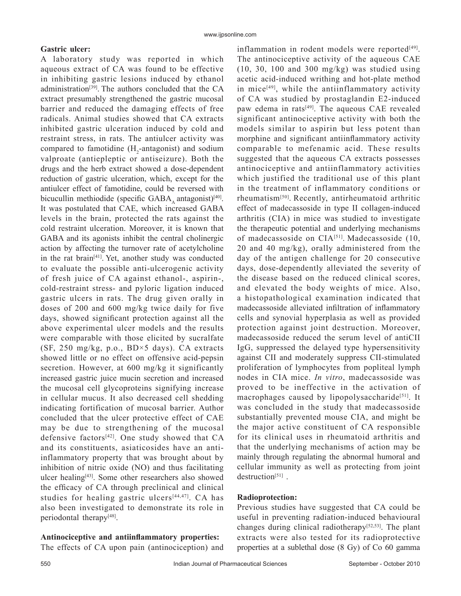## **Gastric ulcer:**

A laboratory study was reported in which aqueous extract of CA was found to be effective in inhibiting gastric lesions induced by ethanol administration[39]. The authors concluded that the CA extract presumably strengthened the gastric mucosal barrier and reduced the damaging effects of free radicals. Animal studies showed that CA extracts inhibited gastric ulceration induced by cold and restraint stress, in rats. The antiulcer activity was compared to famotidine  $(H_2$ -antagonist) and sodium valproate (antiepleptic or antiseizure). Both the drugs and the herb extract showed a dose-dependent reduction of gastric ulceration, which, except for the antiulcer effect of famotidine, could be reversed with bicucullin methiodide (specific  $GABA$  antagonist)<sup>[40]</sup>. It was postulated that CAE, which increased GABA levels in the brain, protected the rats against the cold restraint ulceration. Moreover, it is known that GABA and its agonists inhibit the central cholinergic action by affecting the turnover rate of acetylcholine in the rat brain<sup>[41]</sup>. Yet, another study was conducted to evaluate the possible anti-ulcerogenic activity of fresh juice of CA against ethanol-, aspirin-, cold-restraint stress- and pyloric ligation induced gastric ulcers in rats. The drug given orally in doses of 200 and 600 mg/kg twice daily for five days, showed significant protection against all the above experimental ulcer models and the results were comparable with those elicited by sucralfate (SF, 250 mg/kg, p.o., BD×5 days). CA extracts showed little or no effect on offensive acid-pepsin secretion. However, at 600 mg/kg it significantly increased gastric juice mucin secretion and increased the mucosal cell glycoproteins signifying increase in cellular mucus. It also decreased cell shedding indicating fortification of mucosal barrier. Author concluded that the ulcer protective effect of CAE may be due to strengthening of the mucosal defensive factors<sup>[42]</sup>. One study showed that CA and its constituents, asiaticosides have an antiinflammatory property that was brought about by inhibition of nitric oxide (NO) and thus facilitating ulcer healing[43]. Some other researchers also showed the efficacy of CA through preclinical and clinical studies for healing gastric ulcers $[44,47]$ . CA has also been investigated to demonstrate its role in periodontal therapy<sup>[48]</sup>.

## Antinociceptive and antiinflammatory properties:

The effects of CA upon pain (antinociception) and

inflammation in rodent models were reported<sup>[49]</sup>. The antinociceptive activity of the aqueous CAE  $(10, 30, 100$  and  $300$  mg/kg) was studied using acetic acid-induced writhing and hot-plate method in mice<sup>[49]</sup>, while the antiinflammatory activity of CA was studied by prostaglandin E2-induced paw edema in rats $[49]$ . The aqueous CAE revealed significant antinociceptive activity with both the models similar to aspirin but less potent than morphine and significant antiinflammatory activity comparable to mefenamic acid. These results suggested that the aqueous CA extracts possesses antinociceptive and antiinflammatory activities which justified the traditional use of this plant in the treatment of inflammatory conditions or rheumatism[50]. Recently, antirheumatoid arthritic effect of madecassoside in type II collagen-induced arthritis (CIA) in mice was studied to investigate the therapeutic potential and underlying mechanisms of madecassoside on CIA[51]. Madecassoside (10, 20 and 40 mg/kg), orally administered from the day of the antigen challenge for 20 consecutive days, dose-dependently alleviated the severity of the disease based on the reduced clinical scores, and elevated the body weights of mice. Also, a histopathological examination indicated that madecassoside alleviated infiltration of inflammatory cells and synovial hyperplasia as well as provided protection against joint destruction. Moreover, madecassoside reduced the serum level of antiCII IgG, suppressed the delayed type hypersensitivity against CII and moderately suppress CII-stimulated proliferation of lymphocytes from popliteal lymph nodes in CIA mice. *In vitro*, madecassoside was proved to be ineffective in the activation of macrophages caused by lipopolysaccharide<sup>[51]</sup>. It was concluded in the study that madecassoside substantially prevented mouse CIA, and might be the major active constituent of CA responsible for its clinical uses in rheumatoid arthritis and that the underlying mechanisms of action may be mainly through regulating the abnormal humoral and cellular immunity as well as protecting from joint destruction<sup>[51]</sup>.

## **Radioprotection:**

Previous studies have suggested that CA could be useful in preventing radiation-induced behavioural changes during clinical radiotherapy<sup>[52,53]</sup>. The plant extracts were also tested for its radioprotective properties at a sublethal dose (8 Gy) of Co 60 gamma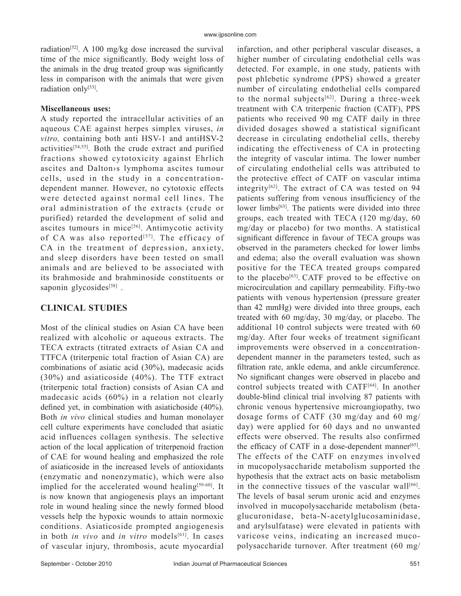radiation<sup>[52]</sup>. A 100 mg/kg dose increased the survival time of the mice significantly. Body weight loss of the animals in the drug treated group was significantly less in comparison with the animals that were given radiation only[53].

## **Miscellaneous uses:**

A study reported the intracellular activities of an aqueous CAE against herpes simplex viruses, *in vitro,* containing both anti HSV-1 and antiHSV-2 activities[54,55]. Both the crude extract and purified fractions showed cytotoxicity against Ehrlich ascites and Dalton›s lymphoma ascites tumour cells, used in the study in a concentrationdependent manner. However, no cytotoxic effects were detected against normal cell lines. The oral administration of the extracts (crude or purified) retarded the development of solid and ascites tumours in mice<sup>[56]</sup>. Antimycotic activity of CA was also reported<sup>[57]</sup>. The efficacy of CA in the treatment of depression, anxiety, and sleep disorders have been tested on small animals and are believed to be associated with its brahmoside and brahminoside constituents or saponin glycosides $[58]$ .

# **CLINICAL STUDIES**

Most of the clinical studies on Asian CA have been realized with alcoholic or aqueous extracts. The TECA extracts (titrated extracts of Asian CA and TTFCA (triterpenic total fraction of Asian CA) are combinations of asiatic acid (30%), madecasic acids (30%) and asiaticoside (40%). The TTF extract (triterpenic total fraction) consists of Asian CA and madecasic acids (60%) in a relation not clearly defined yet, in combination with asiatichoside  $(40\%)$ . Both *in vivo* clinical studies and human monolayer cell culture experiments have concluded that asiatic acid influences collagen synthesis. The selective action of the local application of triterpenoid fraction of CAE for wound healing and emphasized the role of asiaticoside in the increased levels of antioxidants (enzymatic and nonenzymatic), which were also implied for the accelerated wound healing<sup>[59-60]</sup>. It is now known that angiogenesis plays an important role in wound healing since the newly formed blood vessels help the hypoxic wounds to attain normoxic conditions. Asiaticoside prompted angiogenesis in both *in vivo* and *in vitro* models<sup>[61]</sup>. In cases of vascular injury, thrombosis, acute myocardial infarction, and other peripheral vascular diseases, a higher number of circulating endothelial cells was detected. For example, in one study, patients with post phlebetic syndrome (PPS) showed a greater number of circulating endothelial cells compared to the normal subjects<sup>[62]</sup>. During a three-week treatment with CA triterpenic fraction (CATF), PPS patients who received 90 mg CATF daily in three divided dosages showed a statistical significant decrease in circulating endothelial cells, thereby indicating the effectiveness of CA in protecting the integrity of vascular intima. The lower number of circulating endothelial cells was attributed to the protective effect of CATF on vascular intima integrity $[62]$ . The extract of CA was tested on 94 patients suffering from venous insufficiency of the lower limbs $[63]$ . The patients were divided into three groups, each treated with TECA (120 mg/day, 60 mg/day or placebo) for two months. A statistical significant difference in favour of TECA groups was observed in the parameters checked for lower limbs and edema; also the overall evaluation was shown positive for the TECA treated groups compared to the placebo<sup>[63]</sup>. CATF proved to be effective on microcirculation and capillary permeability. Fifty-two patients with venous hypertension (pressure greater than 42 mmHg) were divided into three groups, each treated with 60 mg/day, 30 mg/day, or placebo. The additional 10 control subjects were treated with 60 mg/day. After four weeks of treatment significant improvements were observed in a concentrationdependent manner in the parameters tested, such as filtration rate, ankle edema, and ankle circumference. No significant changes were observed in placebo and control subjects treated with CATF<sup>[64]</sup>. In another double-blind clinical trial involving 87 patients with chronic venous hypertensive microangiopathy, two dosage forms of CATF (30 mg/day and 60 mg/ day) were applied for 60 days and no unwanted effects were observed. The results also confirmed the efficacy of CATF in a dose-dependent manner $[65]$ . The effects of the CATF on enzymes involved in mucopolysaccharide metabolism supported the hypothesis that the extract acts on basic metabolism in the connective tissues of the vascular wall<sup>[66]</sup>. The levels of basal serum uronic acid and enzymes involved in mucopolysaccharide metabolism (betaglucuronidase, beta-N-acetylglucosaminidase, and arylsulfatase) were elevated in patients with varicose veins, indicating an increased mucopolysaccharide turnover. After treatment (60 mg/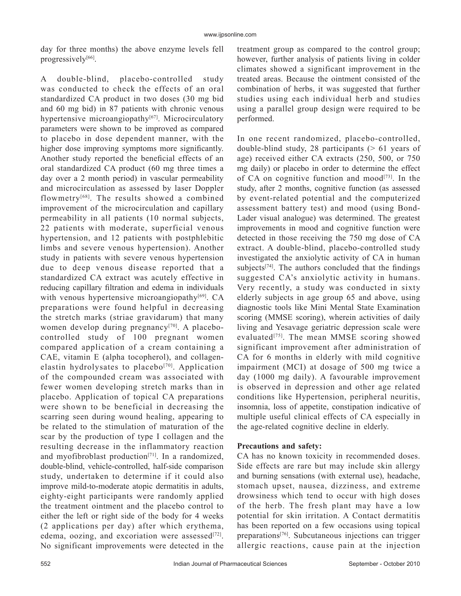day for three months) the above enzyme levels fell progressively<sup>[66]</sup>.

A double-blind, placebo-controlled study was conducted to check the effects of an oral standardized CA product in two doses (30 mg bid and 60 mg bid) in 87 patients with chronic venous hypertensive microangiopathy<sup>[67]</sup>. Microcirculatory parameters were shown to be improved as compared to placebo in dose dependent manner, with the higher dose improving symptoms more significantly. Another study reported the beneficial effects of an oral standardized CA product (60 mg three times a day over a 2 month period) in vascular permeability and microcirculation as assessed by laser Doppler flowmetry[68]. The results showed a combined improvement of the microcirculation and capillary permeability in all patients (10 normal subjects, 22 patients with moderate, superficial venous hypertension, and 12 patients with postphlebitic limbs and severe venous hypertension). Another study in patients with severe venous hypertension due to deep venous disease reported that a standardized CA extract was acutely effective in reducing capillary filtration and edema in individuals with venous hypertensive microangiopathy $[69]$ . CA preparations were found helpful in decreasing the stretch marks (striae gravidarum) that many women develop during pregnancy<sup>[70]</sup>. A placebocontrolled study of 100 pregnant women compared application of a cream containing a CAE, vitamin E (alpha tocopherol), and collagenelastin hydrolysates to placebo $[70]$ . Application of the compounded cream was associated with fewer women developing stretch marks than in placebo. Application of topical CA preparations were shown to be beneficial in decreasing the scarring seen during wound healing, appearing to be related to the stimulation of maturation of the scar by the production of type I collagen and the resulting decrease in the inflammatory reaction and myofibroblast production[71]. In a randomized, double-blind, vehicle-controlled, half-side comparison study, undertaken to determine if it could also improve mild-to-moderate atopic dermatitis in adults, eighty-eight participants were randomly applied the treatment ointment and the placebo control to either the left or right side of the body for 4 weeks (2 applications per day) after which erythema, edema, oozing, and excoriation were assessed $[72]$ . No significant improvements were detected in the

treatment group as compared to the control group; however, further analysis of patients living in colder climates showed a significant improvement in the treated areas. Because the ointment consisted of the combination of herbs, it was suggested that further studies using each individual herb and studies using a parallel group design were required to be performed.

In one recent randomized, placebo-controlled, double-blind study, 28 participants  $(> 61$  years of age) received either CA extracts (250, 500, or 750 mg daily) or placebo in order to determine the effect of CA on cognitive function and mood $[73]$ . In the study, after 2 months, cognitive function (as assessed by event-related potential and the computerized assessment battery test) and mood (using Bond-Lader visual analogue) was determined. The greatest improvements in mood and cognitive function were detected in those receiving the 750 mg dose of CA extract. A double-blind, placebo-controlled study investigated the anxiolytic activity of CA in human subjects $[74]$ . The authors concluded that the findings suggested CA's anxiolytic activity in humans. Very recently, a study was conducted in sixty elderly subjects in age group 65 and above, using diagnostic tools like Mini Mental State Examination scoring (MMSE scoring), wherein activities of daily living and Yesavage geriatric depression scale were evaluated<sup>[75]</sup>. The mean MMSE scoring showed significant improvement after administration of CA for 6 months in elderly with mild cognitive impairment (MCI) at dosage of 500 mg twice a day (1000 mg daily). A favourable improvement is observed in depression and other age related conditions like Hypertension, peripheral neuritis, insomnia, loss of appetite, constipation indicative of multiple useful clinical effects of CA especially in the age-related cognitive decline in elderly.

## **Precautions and safety:**

CA has no known toxicity in recommended doses. Side effects are rare but may include skin allergy and burning sensations (with external use), headache, stomach upset, nausea, dizziness, and extreme drowsiness which tend to occur with high doses of the herb. The fresh plant may have a low potential for skin irritation. A Contact dermatitis has been reported on a few occasions using topical preparations[76]. Subcutaneous injections can trigger allergic reactions, cause pain at the injection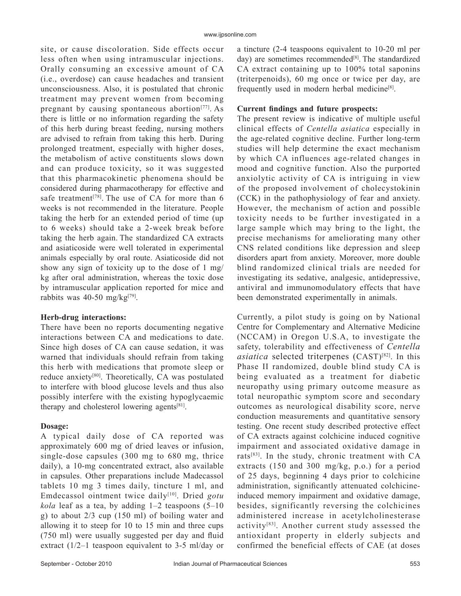site, or cause discoloration. Side effects occur less often when using intramuscular injections. Orally consuming an excessive amount of CA (i.e., overdose) can cause headaches and transient unconsciousness. Also, it is postulated that chronic treatment may prevent women from becoming pregnant by causing spontaneous abortion<sup>[77]</sup>. As there is little or no information regarding the safety of this herb during breast feeding, nursing mothers are advised to refrain from taking this herb. During prolonged treatment, especially with higher doses, the metabolism of active constituents slows down and can produce toxicity, so it was suggested that this pharmacokinetic phenomena should be considered during pharmacotherapy for effective and safe treatment<sup>[78]</sup>. The use of CA for more than  $6$ weeks is not recommended in the literature. People taking the herb for an extended period of time (up to 6 weeks) should take a 2-week break before taking the herb again. The standardized CA extracts and asiaticoside were well tolerated in experimental animals especially by oral route. Asiaticoside did not show any sign of toxicity up to the dose of 1 mg/ kg after oral administration, whereas the toxic dose by intramuscular application reported for mice and rabbits was  $40-50$  mg/kg<sup>[79]</sup>.

## **Herb-drug interactions:**

There have been no reports documenting negative interactions between CA and medications to date. Since high doses of CA can cause sedation, it was warned that individuals should refrain from taking this herb with medications that promote sleep or reduce anxiety[80]. Theoretically, CA was postulated to interfere with blood glucose levels and thus also possibly interfere with the existing hypoglycaemic therapy and cholesterol lowering agents $[81]$ .

## **Dosage:**

A typical daily dose of CA reported was approximately 600 mg of dried leaves or infusion, single-dose capsules (300 mg to 680 mg, thrice daily), a 10-mg concentrated extract, also available in capsules. Other preparations include Madecassol tablets 10 mg 3 times daily, tincture 1 ml, and Emdecassol ointment twice daily[10]. Dried *gotu*   $kola$  leaf as a tea, by adding  $1-2$  teaspoons  $(5-10)$ g) to about 2/3 cup (150 ml) of boiling water and allowing it to steep for 10 to 15 min and three cups (750 ml) were usually suggested per day and fluid extract (1/2–1 teaspoon equivalent to 3-5 ml/day or

a tincture (2-4 teaspoons equivalent to 10-20 ml per day) are sometimes recommended $[8]$ . The standardized CA extract containing up to 100% total saponins (triterpenoids), 60 mg once or twice per day, are frequently used in modern herbal medicine[8].

## **Current findings and future prospects:**

The present review is indicative of multiple useful clinical effects of *Centella asiatica* especially in the age-related cognitive decline. Further long-term studies will help determine the exact mechanism by which CA influences age-related changes in mood and cognitive function. Also the purported anxiolytic activity of CA is intriguing in view of the proposed involvement of cholecystokinin (CCK) in the pathophysiology of fear and anxiety. However, the mechanism of action and possible toxicity needs to be further investigated in a large sample which may bring to the light, the precise mechanisms for ameliorating many other CNS related conditions like depression and sleep disorders apart from anxiety. Moreover, more double blind randomized clinical trials are needed for investigating its sedative, analgesic, antidepressive, antiviral and immunomodulatory effects that have been demonstrated experimentally in animals.

Currently, a pilot study is going on by National Centre for Complementary and Alternative Medicine (NCCAM) in Oregon U.S.A, to investigate the safety, tolerability and effectiveness of *Centella asiatica* selected triterpenes (CAST)<sup>[82]</sup>. In this Phase II randomized, double blind study CA is being evaluated as a treatment for diabetic neuropathy using primary outcome measure as total neuropathic symptom score and secondary outcomes as neurological disability score, nerve conduction measurements and quantitative sensory testing. One recent study described protective effect of CA extracts against colchicine induced cognitive impairment and associated oxidative damage in rats[83]. In the study, chronic treatment with CA extracts (150 and 300 mg/kg, p.o.) for a period of 25 days, beginning 4 days prior to colchicine administration, significantly attenuated colchicineinduced memory impairment and oxidative damage, besides, significantly reversing the colchicines administered increase in acetylcholinesterase activity[83]. Another current study assessed the antioxidant property in elderly subjects and confirmed the beneficial effects of CAE (at doses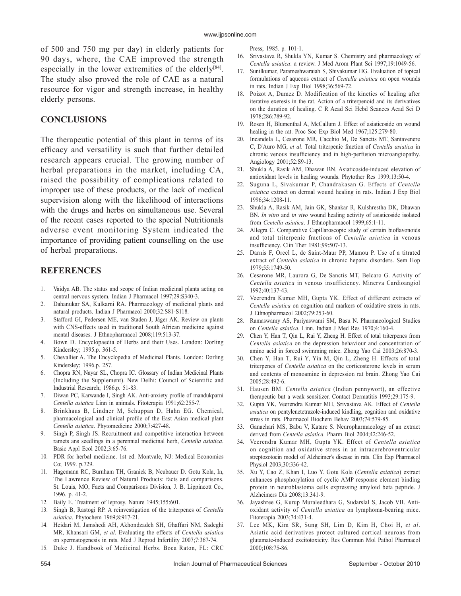of 500 and 750 mg per day) in elderly patients for 90 days, where, the CAE improved the strength especially in the lower extremities of the elderly<sup>[84]</sup>. The study also proved the role of CAE as a natural resource for vigor and strength increase, in healthy elderly persons.

## **CONCLUSIONS**

The therapeutic potential of this plant in terms of its efficacy and versatility is such that further detailed research appears crucial. The growing number of herbal preparations in the market, including CA, raised the possibility of complications related to improper use of these products, or the lack of medical supervision along with the likelihood of interactions with the drugs and herbs on simultaneous use. Several of the recent cases reported to the special Nutritionals adverse event monitoring System indicated the importance of providing patient counselling on the use of herbal preparations.

## **REFERENCES**

- 1. Vaidya AB. The status and scope of Indian medicinal plants acting on central nervous system. Indian J Pharmacol 1997;29:S340-3.
- 2. Dahanukar SA, Kulkarni RA. Pharmacology of medicinal plants and natural products. Indian J Pharmacol 2000;32:S81-S118.
- 3. Stafford GI, Pedersen ME, van Staden J, Jäger AK. Review on plants with CNS-effects used in traditional South African medicine against mental diseases. J Ethnopharmacol 2008;119:513-37.
- 4. Bown D. Encyclopaedia of Herbs and their Uses. London: Dorling Kindersley; 1995.p. 361-5.
- 5. Chevallier A. The Encyclopedia of Medicinal Plants. London: Dorling Kindersley; 1996.p. 257.
- 6. Chopra RN, Nayar SL, Chopra IC. Glossary of Indian Medicinal Plants (Including the Supplement). New Delhi: Council of Scientific and Industrial Research; 1986.p. 51-83.
- 7. Diwan PC, Karwande I, Singh AK. Anti-anxiety profile of mandukparni *Centella asiatica* Linn in animals. Fitoterapia 1991;62:255-7.
- 8. Brinkhaus B, Lindner M, Schuppan D, Hahn EG. Chemical, pharmacological and clinical profile of the East Asian medical plant *Centella asiatica*. Phytomedicine 2000;7:427-48.
- 9. Singh P, Singh JS. Recruitment and competitive interaction between ramets ans seedlings in a perennial medicinal herb, *Centella asiatica*. Basic Appl Ecol 2002;3:65-76.
- 10. PDR for herbal medicine. 1st ed. Montvale, NJ: Medical Economics Co; 1999. p.729.
- 11. Hagemann RC, Burnham TH, Granick B, Neubauer D. Gotu Kola, In, The Lawrence Review of Natural Products: facts and comparisons. St. Louis, MO, Facts and Comparisons Division, J. B. Lippincott Co., 1996. p. 41-2.
- 12. Baily E. Treatment of leprosy. Nature 1945;155:601.
- 13. Singh B, Rastogi RP. A reinvestigation of the triterpenes of *Centella asiatica*. Phytochem 1969;8:917-21.
- 14. Heidari M, Jamshedi AH, Akhondzadeh SH, Ghaffari NM, Sadeghi MR, Khansari GM, *et al*. Evaluating the effects of *Centella asiatica* on spermatogenesis in rats. Med J Reprod Infertility 2007;7:367-74.
- 15. Duke J. Handbook of Medicinal Herbs. Boca Raton, FL: CRC

Press; 1985. p. 101-1.

- 16. Srivastava R, Shukla YN, Kumar S. Chemistry and pharmacology of *Centella asiatica*: a review. J Med Arom Plant Sci 1997;19:1049-56.
- 17. Sun ilkumar, Parameshwaraiah S, Shivakumar HG. Evaluation of topical formulations of aqueous extract of *Centella asiatica* on open wounds in rats. Indian J Exp Biol 1998;36:569-72.
- 18. Poizot A, Dumez D. Modification of the kinetics of healing after iterative exeresis in the rat. Action of a triterpenoid and its derivatives on the duration of healing. C R Acad Sci Hebd Seances Acad Sci D 1978;286:789-92.
- 19. Rosen H, Blumenthal A, McCallum J. Effect of asiaticoside on wound healing in the rat. Proc Soc Exp Biol Med 1967;125:279-80.
- 20. Incandela L, Cesarone MR, Cacchio M, De Sanctis MT, Santavenere C, D'Auro MG, *et al*. Total triterpenic fraction of *Centella asiatica* in chronic venous insufficiency and in high-perfusion microangiopathy. Angiology 2001;52:S9-13.
- 21. Shukla A, Rasik AM, Dhawan BN. Asiaticoside-induced elevation of antioxidant levels in healing wounds. Phytother Res 1999;13:50-4.
- 22. Suguna L, Sivakumar P, Chandrakasan G. Effects of *Centella asiatica* extract on dermal wound healing in rats. Indian J Exp Biol 1996;34:1208-11.
- 23. Shukla A, Rasik AM, Jain GK, Shankar R, Kulshrestha DK, Dhawan BN. *In vitro* and *in vivo* wound healing activity of asiaticoside isolated from *Centella asiatica*. J Ethnopharmacol 1999;65:1-11.
- 24. Allegra C. Comparative Capillaroscopic study of certain bioflavonoids and total triterpenic fractions of *Centella asiatica* in venous insufficiency. Clin Ther 1981;99:507-13.
- 25. Darnis F, Orcel L, de Saint-Maur PP, Mamou P. Use of a titrated extract of *Centella asiatica* in chronic hepatic disorders. Sem Hop 1979;55:1749-50.
- 26. Cesarone MR, Laurora G, De Sanctis MT, Belcaro G. Activity of *Centella asiatica* in venous insufficiency. Minerva Cardioangiol 1992;40:137-43.
- 27. Veerendra Kumar MH, Gupta YK. Effect of different extracts of *Centella asiatica* on cognition and markers of oxidative stress in rats. J Ethnopharmacol 2002;79:253-60.
- 28. Ramaswamy AS, Pariyaswami SM, Basu N. Pharmacological Studies on *Centella asiatica*. Linn. Indian J Med Res 1970;4:160-4.
- 29. Chen Y, Han T, Qin L, Rui Y, Zheng H. Effect of total triterpenes from *Centella asiatica* on the depression behaviour and concentration of amino acid in forced swimming mice. Zhong Yao Cai 2003;26:870-3.
- 30. Chen Y, Han T, Rui Y, Yin M, Qin L, Zheng H. Effects of total triterpenes of *Centella asiatica* on the corticosterone levels in serum and contents of monoamine in depression rat brain. Zhong Yao Cai 2005;28:492-6.
- 31. Hausen BM. *Centella asiatica* (Indian pennywort), an effective therapeutic but a weak sensitizer. Contact Dermatitis 1993;29:175-9.
- 32. Gupta YK, Veerendra Kumar MH, Srivastava AK. Effect of *Centella asiatica* on pentylenetetrazole-induced kindling, cognition and oxidative stress in rats. Pharmacol Biochem Behav 2003;74:579-85.
- 33. Ganachari MS, Babu V, Katare S. Neuropharmacology of an extract derived from *Centella asiatica*. Pharm Biol 2004;42:246-52.
- 34. Veerendra Kumar MH, Gupta YK. Effect of *Centella asiatica* on cognition and oxidative stress in an intracerebroventricular streptozotocin model of Alzheimer's disease in rats. Clin Exp Pharmacol Physiol 2003;30:336-42.
- 35. Xu Y, Cao Z, Khan I, Luo Y. Gotu Kola (*Centella asiatica*) extract enhances phosphorylation of cyclic AMP response element binding protein in neuroblastoma cells expressing amyloid beta peptide. J Alzheimers Dis 2008;13:341-9.
- 36. Jayashree G, Kurup Muraleedhara G, Sudarslal S, Jacob VB. Antioxidant activity of *Centella asiatica* on lymphoma-bearing mice. Fitoterapia 2003;74:431-4.
- 37. Lee MK, Kim SR, Sung SH, Lim D, Kim H, Choi H, *et al*. Asiatic acid derivatives protect cultured cortical neurons from glutamate-induced excitotoxicity. Res Commun Mol Pathol Pharmacol 2000;108:75-86.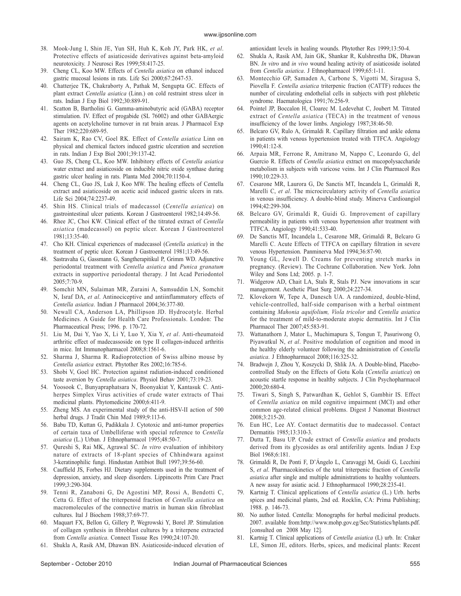- 38. Mook-Jung I, Shin JE, Yun SH, Huh K, Koh JY, Park HK, *et al*. Protective effects of asiaticoside derivatives against beta-amyloid neurotoxicity. J Neurosci Res 1999;58:417-25.
- 39. Cheng CL, Koo MW. Effects of *Centella asiatica* on ethanol induced gastric mucosal lesions in rats. Life Sci 2000;67:2647-53.
- 40. Chatterjee TK, Chakraborty A, Pathak M, Sengupta GC. Effects of plant extract *Centella asiatica* (Linn.) on cold restraint stress ulcer in rats. Indian J Exp Biol 1992;30:889-91.
- 41. Scatton B, Bartholini G. Gamma-aminobutyric acid (GABA) receptor stimulation. IV. Effect of progabide (SL 76002) and other GABAergic agents on acetylcholine turnover in rat brain areas. J Pharmacol Exp Ther 1982;220:689-95.
- 42. Sairam K, Rao CV, Goel RK. Effect of *Centella asiatica* Linn on physical and chemical factors induced gastric ulceration and secretion in rats. Indian J Exp Biol 2001;39:137-42.
- 43. Guo JS, Cheng CL, Koo MW. Inhibitory effects of *Centella asiatica* water extract and asiaticoside on inducible nitric oxide synthase during gastric ulcer healing in rats. Planta Med 2004;70:1150-4.
- 44. Cheng CL, Guo JS, Luk J, Koo MW. The healing effects of Centella extract and asiaticoside on acetic acid induced gastric ulcers in rats. Life Sci 2004;74:2237-49.
- 45. Shin HS. Clinical trials of madecassol (*Centella asiatica*) on gastrointestinal ulcer patients. Korean J Gastroenterol 1982;14:49-56.
- 46. Rhee JC, Choi KW. Clinical effect of the titrated extract of *Centella asiatica* (madecassol) on peptic ulcer. Korean J Gastroenterol 1981;13:35-40.
- 47. Cho KH. Clinical experiences of madecassol (*Centella asiatica*) in the treatment of peptic ulcer. Korean J Gastroenterol 1981;13:49-56.
- 48. Sastravaha G, Gassmann G, Sangtherapitikul P, Grimm WD. Adjunctive periodontal treatment with *Centella asiatica* and *Punica granatum* extracts in supportive periodontal therapy. J Int Acad Periodontol 2005;7:70-9.
- 49. Somchit MN, Sulaiman MR, Zuraini A, Samsuddin LN, Somchit N, Israf DA, *et al*. Antinociceptive and antiinflammatory effects of *Centella asiatica*. Indian J Pharmacol 2004;36:377-80.
- 50. Newall CA, Anderson LA, Phillipson JD. Hydrocotyle. Herbal Medicines. A Guide for Health Care Professionals. London: The Pharmaceutical Press; 1996. p. 170-72.
- 51. Liu M, Dai Y, Yao X, Li Y, Luo Y, Xia Y, *et al*. Anti-rheumatoid arthritic effect of madecassoside on type II collagen-induced arthritis in mice. Int Immunopharmacol 2008;8:1561-6.
- 52. Sharma J, Sharma R. Radioprotection of Swiss albino mouse by *Centella asiatica* extract. Phytother Res 2002;16:785-6.
- 53. Shobi V, Goel HC. Protection against radiation-induced conditioned taste aversion by *Centella asiatica*. Physiol Behav 2001;73:19-23.
- 54. Yoosook C, Bunyapraphatsara N, Boonyakiat Y, Kantasuk C. Antiherpes Simplex Virus activities of crude water extracts of Thai medicinal plants. Phytomedicine 2000;6:411-9.
- 55. Zheng MS. An experimental study of the anti-HSV-II action of 500 herbal drugs. J Tradit Chin Med 1989;9:113-6.
- 56. Babu TD, Kuttan G, Padikkala J. Cytotoxic and anti-tumor properties of certain taxa of Umbelliferae with special reference to *Centella asiatica* (L.) Urban. J Ethnopharmacol 1995;48:50-7.
- 57. Qureshi S, Rai MK, Agrawal SC. *In vitro* evaluation of inhibitory nature of extracts of 18-plant species of Chhindwara against 3-keratinophilic fungi. Hindustan Antibiot Bull 1997;39:56-60.
- 58. Cauffield JS, Forbes HJ. Dietary supplements used in the treatment of depression, anxiety, and sleep disorders. Lippincotts Prim Care Pract 1999;3:290-304.
- 59. Tenni R, Zanaboni G, De Agostini MP, Rossi A, Bendotti C, Cetta G. Effect of the triterpenoid fraction of *Centella asiatica* on macromolecules of the connective matrix in human skin fibroblast cultures. Ital J Biochem 1988;37:69-77.
- 60. Maquart FX, Bellon G, Gillery P, Wegrowski Y, Borel JP. Stimulation of collagen synthesis in fibroblast cultures by a triterpene extracted from *Centella asiatica*. Connect Tissue Res 1990;24:107-20.
- 61. Shukla A, Rasik AM, Dhawan BN. Asiaticoside-induced elevation of

antioxidant levels in healing wounds. Phytother Res 1999;13:50-4.

- 62. Shukla A, Rasik AM, Jain GK, Shankar R, Kulshrestha DK, Dhawan BN. *In vitro* and *in vivo* wound healing activity of asiaticoside isolated from *Centella asiatica*. J Ethnopharmacol 1999;65:1-11.
- 63. Montecchio GP, Samaden A, Carbone S, Vigotti M, Siragusa S, Piovella F. *Centella asiatica* triterpenic fraction (CATTF) reduces the number of circulating endothelial cells in subjects with post phlebetic syndrome. Haematologica 1991;76:256-9.
- 64. Pointel JP, Boccalon H, Cloarec M. Ledevehat C, Joubert M. Titrated extract of *Centella asiatica* (TECA) in the treatment of venous insufficiency of the lower limbs. Angiology 1987;38:46-50.
- Belcaro GV, Rulo A, Grimaldi R. Capillary filtration and ankle edema in patients with venous hypertension treated with TTFCA. Angiology 1990;41:12-8.
- 66. Arpaia MR, Ferrone R, Amitrano M, Nappo C, Leonardo G, del Guercio R. Effects of *Centella asiatica* extract on mucopolysaccharide metabolism in subjects with varicose veins. Int J Clin Pharmacol Res 1990;10:229-33.
- 67. Cesarone MR, Laurora G, De Sanctis MT, Incandela L, Grimaldi R, Marelli C, *et al*. The microcirculatory activity of *Centella asiatica* in venous insufficiency. A double-blind study. Minerva Cardioangiol 1994;42:299-304.
- 68. Belcaro GV, Grimaldi R, Guidi G. Improvement of capillary permeability in patients with venous hypertension after treatment with TTFCA. Angiology 1990;41:533-40.
- 69. De Sanctis MT, Incandela L, Cesarone MR, Grimaldi R, Belcaro G Marelli C. Acute Effects of TTFCA on capillary filtration in severe venous Hypertension. Panminerva Med 1994;36:87-90.
- 70. Young GL, Jewell D. Creams for preventing stretch marks in pregnancy. (Review). The Cochrane Collaboration. New York. John Wiley and Sons Ltd; 2005. p. 1-7.
- 71. Widgerow AD, Chait LA, Stals R, Stals PJ. New innovations in scar management. Aesthetic Plast Surg 2000;24:227-34.
- 72. Klovekorn W, Tepe A, Danesch UA. A randomized, double-blind, vehicle-controlled, half-side comparison with a herbal ointment containing *Mahonia aquifolium, Viola tricolor* and *Centella asiatica* for the treatment of mild-to-moderate atopic dermatitis. Int J Clin Pharmacol Ther 2007;45:583-91.
- 73. Wattanathorn J, Mator L, Muchimapura S, Tongun T, Pasuriwong O, Piyawatkul N, *et al*. Positive modulation of cognition and mood in the healthy elderly volunteer following the administration of *Centella asiatica*. J Ethnopharmacol 2008;116:325-32.
- 74. Bradw ejn J, Zhou Y, Koszycki D, Shlik JA. A Double-blind, Placebocontrolled Study on the Effects of Gotu Kola (*Centella asiatica*) on acoustic startle response in healthy subjects. J Clin Psychopharmacol 2000;20:680-4.
- 75. Tiwari S, Singh S, Patwardhan K, Gehlot S, Gambhir IS. Effect of *Centella asiatica* on mild cognitive impairment (MCI) and other common age-related clinical problems. Digest J Nanomat Biostruct 2008;3:215-20.
- 76. Eun HC, Lee AY. Contact dermatitis due to madecassol. Contact Dermatitis 1985;13:310-3.
- 77. Dutta T, Basu UP. Crude extract of *Centella asiatica* and products derived from its glycosides as oral antiferility agents. Indian J Exp Biol 1968;6:181.
- 78. Grimaldi R, De Ponti F, D'Ángelo L, Caravaggi M, Guidi G, Lecchini S, *et al*. Pharmacokinetics of the total triterpenic fraction of *Centella asiatica* after single and multiple administrations to healthy volunteers. A new assay for asiatic acid. J Ethnopharmacol 1990;28:235-41.
- 79. Kartnig T. Clinical applications of *Centella asiatica* (L.) Urb. herbs spices and medicinal plants, 2nd ed. Rocklin, CA: Prima Publishing; 1988. p. 146-73.
- 80. No author listed. Centella: Monographs for herbal medicinal products. 2007. available from:http://www.mohp.gov.eg/Sec/Statistics/hplants.pdf. [consulted on 2008 May 12].
- 81. Kartnig T. Clinical applications of *Centella asiatica* (L) urb. In: Craker LE, Simon JE, editors. Herbs, spices, and medicinal plants: Recent